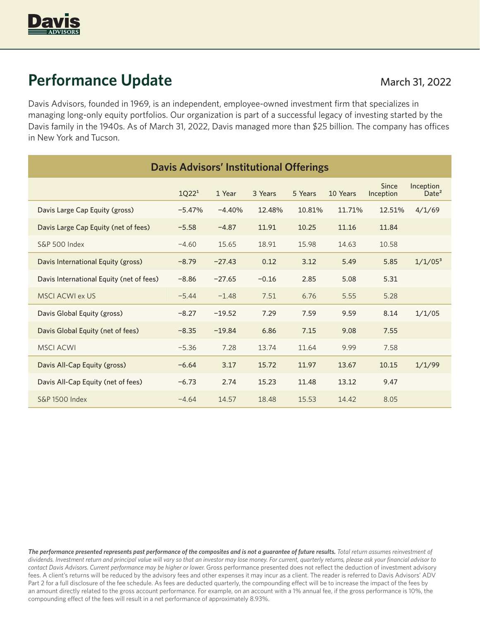

# **Performance Update** March 31, 2022

Davis Advisors, founded in 1969, is an independent, employee-owned investment firm that specializes in managing long-only equity portfolios. Our organization is part of a successful legacy of investing started by the Davis family in the 1940s. As of March 31, 2022, Davis managed more than \$25 billion. The company has offices in New York and Tucson.

| <b>Davis Advisors' Institutional Offerings</b> |                   |          |         |         |          |                    |                                |
|------------------------------------------------|-------------------|----------|---------|---------|----------|--------------------|--------------------------------|
|                                                | 1Q22 <sup>1</sup> | 1 Year   | 3 Years | 5 Years | 10 Years | Since<br>Inception | Inception<br>Date <sup>2</sup> |
| Davis Large Cap Equity (gross)                 | $-5.47%$          | $-4.40%$ | 12.48%  | 10.81%  | 11.71%   | 12.51%             | 4/1/69                         |
| Davis Large Cap Equity (net of fees)           | $-5.58$           | $-4.87$  | 11.91   | 10.25   | 11.16    | 11.84              |                                |
| <b>S&amp;P 500 Index</b>                       | $-4.60$           | 15.65    | 18.91   | 15.98   | 14.63    | 10.58              |                                |
| Davis International Equity (gross)             | $-8.79$           | $-27.43$ | 0.12    | 3.12    | 5.49     | 5.85               | $1/1/05^3$                     |
| Davis International Equity (net of fees)       | $-8.86$           | $-27.65$ | $-0.16$ | 2.85    | 5.08     | 5.31               |                                |
| <b>MSCI ACWI ex US</b>                         | $-5.44$           | $-1.48$  | 7.51    | 6.76    | 5.55     | 5.28               |                                |
| Davis Global Equity (gross)                    | $-8.27$           | $-19.52$ | 7.29    | 7.59    | 9.59     | 8.14               | 1/1/05                         |
| Davis Global Equity (net of fees)              | $-8.35$           | $-19.84$ | 6.86    | 7.15    | 9.08     | 7.55               |                                |
| <b>MSCI ACWI</b>                               | $-5.36$           | 7.28     | 13.74   | 11.64   | 9.99     | 7.58               |                                |
| Davis All-Cap Equity (gross)                   | $-6.64$           | 3.17     | 15.72   | 11.97   | 13.67    | 10.15              | 1/1/99                         |
| Davis All-Cap Equity (net of fees)             | $-6.73$           | 2.74     | 15.23   | 11.48   | 13.12    | 9.47               |                                |
| S&P 1500 Index                                 | $-4.64$           | 14.57    | 18.48   | 15.53   | 14.42    | 8.05               |                                |

*The performance presented represents past performance of the composites and is not a guarantee of future results. Total return assumes reinvestment of dividends. Investment return and principal value will vary so that an investor may lose money. For current, quarterly returns, please ask your financial advisor to contact Davis Advisors. Current performance may be higher or lower.* Gross performance presented does not reflect the deduction of investment advisory fees. A client's returns will be reduced by the advisory fees and other expenses it may incur as a client. The reader is referred to Davis Advisors' ADV Part 2 for a full disclosure of the fee schedule. As fees are deducted quarterly, the compounding effect will be to increase the impact of the fees by an amount directly related to the gross account performance. For example, on an account with a 1% annual fee, if the gross performance is 10%, the compounding effect of the fees will result in a net performance of approximately 8.93%.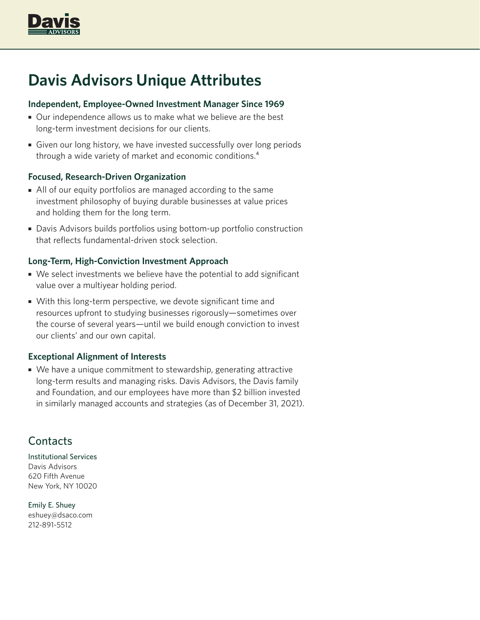

# **Davis Advisors Unique Attributes**

### **Independent, Employee-Owned Investment Manager Since 1969**

- Our independence allows us to make what we believe are the best long-term investment decisions for our clients.
- Given our long history, we have invested successfully over long periods through a wide variety of market and economic conditions.4

## **Focused, Research-Driven Organization**

- All of our equity portfolios are managed according to the same investment philosophy of buying durable businesses at value prices and holding them for the long term.
- Davis Advisors builds portfolios using bottom-up portfolio construction that reflects fundamental-driven stock selection.

### **Long-Term, High-Conviction Investment Approach**

- We select investments we believe have the potential to add significant value over a multiyear holding period.
- With this long-term perspective, we devote significant time and resources upfront to studying businesses rigorously—sometimes over the course of several years—until we build enough conviction to invest our clients' and our own capital.

#### **Exceptional Alignment of Interests**

• We have a unique commitment to stewardship, generating attractive long-term results and managing risks. Davis Advisors, the Davis family and Foundation, and our employees have more than \$2 billion invested in similarly managed accounts and strategies (as of December 31, 2021).

# **Contacts**

Institutional Services Davis Advisors 620 Fifth Avenue New York, NY 10020

Emily E. Shuey eshuey@dsaco.com 212-891-5512